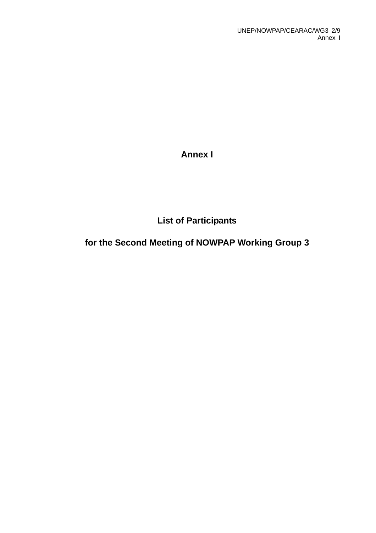**Annex I** 

**List of Participants** 

# **for the Second Meeting of NOWPAP Working Group 3**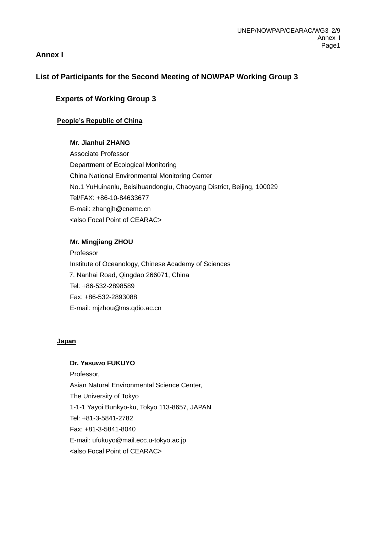# **Annex I**

# **List of Participants for the Second Meeting of NOWPAP Working Group 3**

# **Experts of Working Group 3**

## **People's Republic of China**

### **Mr. Jianhui ZHANG**

Associate Professor Department of Ecological Monitoring China National Environmental Monitoring Center No.1 YuHuinanlu, Beisihuandonglu, Chaoyang District, Beijing, 100029 Tel/FAX: +86-10-84633677 E-mail: zhangjh@cnemc.cn <also Focal Point of CEARAC>

#### **Mr. Mingjiang ZHOU**

Professor Institute of Oceanology, Chinese Academy of Sciences 7, Nanhai Road, Qingdao 266071, China Tel: +86-532-2898589 Fax: +86-532-2893088 E-mail: mjzhou@ms.qdio.ac.cn

#### **Japan**

#### **Dr. Yasuwo FUKUYO**

Professor, Asian Natural Environmental Science Center, The University of Tokyo 1-1-1 Yayoi Bunkyo-ku, Tokyo 113-8657, JAPAN Tel: +81-3-5841-2782 Fax: +81-3-5841-8040 E-mail: [ufukuyo@mail.ecc.u-tokyo.ac.jp](mailto:ufukuyo@mail.ecc.u-tokyo.ac.jp) <also Focal Point of CEARAC>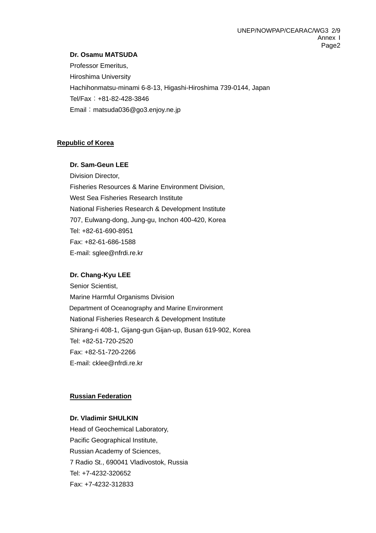#### **Dr. Osamu MATSUDA**

Professor Emeritus, Hiroshima University Hachihonmatsu-minami 6-8-13, Higashi-Hiroshima 739-0144, Japan Tel/Fax:+81-82-428-3846 Email: [matsuda036@go3.enjoy.ne.jp](mailto:matsuda036@go3.enjoy.ne.jp)

#### **Republic of Korea**

#### **Dr. Sam-Geun LEE**

Division Director, Fisheries Resources & Marine Environment Division, West Sea Fisheries Research Institute National Fisheries Research & Development Institute 707, Eulwang-dong, Jung-gu, Inchon 400-420, Korea Tel: +82-61-690-8951 Fax: +82-61-686-1588 E-mail: sglee@nfrdi.re.kr

#### **Dr. Chang-Kyu LEE**

Senior Scientist, Marine Harmful Organisms Division Department of Oceanography and Marine Environment National Fisheries Research & Development Institute Shirang-ri 408-1, Gijang-gun Gijan-up, Busan 619-902, Korea Tel: +82-51-720-2520 Fax: +82-51-720-2266 E-mail: cklee@nfrdi.re.kr

#### **Russian Federation**

#### **Dr. Vladimir SHULKIN**

Head of Geochemical Laboratory, Pacific Geographical Institute, Russian Academy of Sciences, 7 Radio St., 690041 Vladivostok, Russia Tel: +7-4232-320652 Fax: +7-4232-312833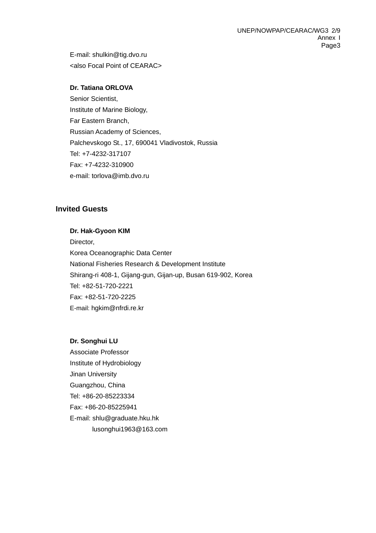E-mail: shulkin@tig.dvo.ru <also Focal Point of CEARAC>

### **Dr. Tatiana ORLOVA**

Senior Scientist, Institute of Marine Biology, Far Eastern Branch, Russian Academy of Sciences, Palchevskogo St., 17, 690041 Vladivostok, Russia Tel: +7-4232-317107 Fax: +7-4232-310900 e-mail: torlova@imb.dvo.ru

# **Invited Guests**

#### **Dr. Hak-Gyoon KIM**

Director, Korea Oceanographic Data Center National Fisheries Research & Development Institute Shirang-ri 408-1, Gijang-gun, Gijan-up, Busan 619-902, Korea Tel: +82-51-720-2221 Fax: +82-51-720-2225 E-mail: [hgkim@nfrdi.re.kr](mailto:hgkim@nfrdi.re.kr)

#### **Dr. Songhui LU**

Associate Professor Institute of Hydrobiology Jinan University Guangzhou, China Tel: +86-20-85223334 Fax: +86-20-85225941 E-mail: shlu@graduate.hku.hk lusonghui1963@163.com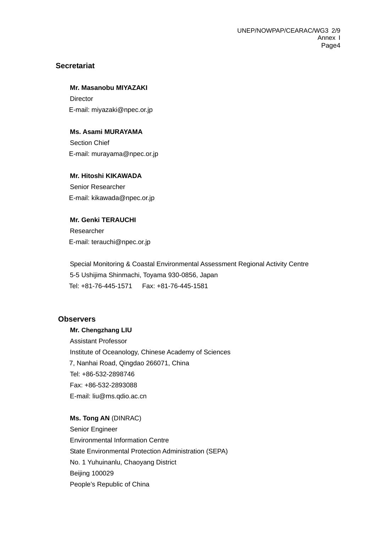# **Secretariat**

**Mr. Masanobu MIYAZAKI Director** 

E-mail: miyazaki@npec.or.jp

### **Ms. Asami MURAYAMA**

Section Chief E-mail: murayama@npec.or.jp

**Mr. Hitoshi KIKAWADA** 

Senior Researcher E-mail: kikawada@npec.or.jp

# **Mr. Genki TERAUCHI**  Researcher E-mail: [terauchi@npec.or.jp](mailto:terauchi@npec.or.jp)

Special Monitoring & Coastal Environmental Assessment Regional Activity Centre 5-5 Ushijima Shinmachi, Toyama 930-0856, Japan Tel: +81-76-445-1571 Fax: +81-76-445-1581

# **Observers**

**Mr. Chengzhang LIU**  Assistant Professor Institute of Oceanology, Chinese Academy of Sciences 7, Nanhai Road, Qingdao 266071, China Tel: +86-532-2898746 Fax: +86-532-2893088 E-mail: liu@ms.qdio.ac.cn

# **Ms. Tong AN** (DINRAC) Senior Engineer Environmental Information Centre State Environmental Protection Administration (SEPA) No. 1 Yuhuinanlu, Chaoyang District Beijing 100029 People's Republic of China